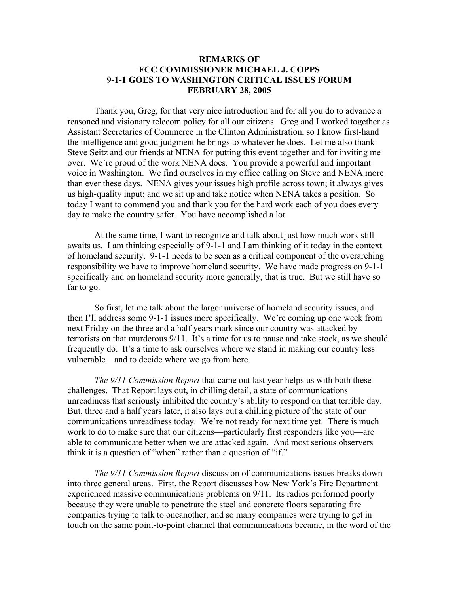## **REMARKS OF FCC COMMISSIONER MICHAEL J. COPPS 9-1-1 GOES TO WASHINGTON CRITICAL ISSUES FORUM FEBRUARY 28, 2005**

 Thank you, Greg, for that very nice introduction and for all you do to advance a reasoned and visionary telecom policy for all our citizens. Greg and I worked together as Assistant Secretaries of Commerce in the Clinton Administration, so I know first-hand the intelligence and good judgment he brings to whatever he does. Let me also thank Steve Seitz and our friends at NENA for putting this event together and for inviting me over. We're proud of the work NENA does. You provide a powerful and important voice in Washington. We find ourselves in my office calling on Steve and NENA more than ever these days. NENA gives your issues high profile across town; it always gives us high-quality input; and we sit up and take notice when NENA takes a position. So today I want to commend you and thank you for the hard work each of you does every day to make the country safer. You have accomplished a lot.

 At the same time, I want to recognize and talk about just how much work still awaits us. I am thinking especially of 9-1-1 and I am thinking of it today in the context of homeland security. 9-1-1 needs to be seen as a critical component of the overarching responsibility we have to improve homeland security. We have made progress on 9-1-1 specifically and on homeland security more generally, that is true. But we still have so far to go.

 So first, let me talk about the larger universe of homeland security issues, and then I'll address some 9-1-1 issues more specifically. We're coming up one week from next Friday on the three and a half years mark since our country was attacked by terrorists on that murderous 9/11. It's a time for us to pause and take stock, as we should frequently do. It's a time to ask ourselves where we stand in making our country less vulnerable—and to decide where we go from here.

 *The 9/11 Commission Report* that came out last year helps us with both these challenges. That Report lays out, in chilling detail, a state of communications unreadiness that seriously inhibited the country's ability to respond on that terrible day. But, three and a half years later, it also lays out a chilling picture of the state of our communications unreadiness today. We're not ready for next time yet. There is much work to do to make sure that our citizens—particularly first responders like you—are able to communicate better when we are attacked again. And most serious observers think it is a question of "when" rather than a question of "if."

 *The 9/11 Commission Report* discussion of communications issues breaks down into three general areas. First, the Report discusses how New York's Fire Department experienced massive communications problems on 9/11. Its radios performed poorly because they were unable to penetrate the steel and concrete floors separating fire companies trying to talk to oneanother, and so many companies were trying to get in touch on the same point-to-point channel that communications became, in the word of the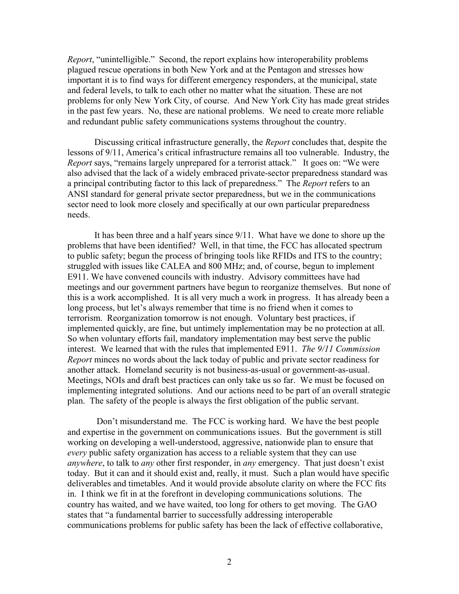*Report*, "unintelligible." Second, the report explains how interoperability problems plagued rescue operations in both New York and at the Pentagon and stresses how important it is to find ways for different emergency responders, at the municipal, state and federal levels, to talk to each other no matter what the situation. These are not problems for only New York City, of course. And New York City has made great strides in the past few years. No, these are national problems. We need to create more reliable and redundant public safety communications systems throughout the country.

 Discussing critical infrastructure generally, the *Report* concludes that, despite the lessons of 9/11, America's critical infrastructure remains all too vulnerable. Industry, the *Report* says, "remains largely unprepared for a terrorist attack." It goes on: "We were also advised that the lack of a widely embraced private-sector preparedness standard was a principal contributing factor to this lack of preparedness." The *Report* refers to an ANSI standard for general private sector preparedness, but we in the communications sector need to look more closely and specifically at our own particular preparedness needs.

It has been three and a half years since 9/11. What have we done to shore up the problems that have been identified? Well, in that time, the FCC has allocated spectrum to public safety; begun the process of bringing tools like RFIDs and ITS to the country; struggled with issues like CALEA and 800 MHz; and, of course, begun to implement E911. We have convened councils with industry. Advisory committees have had meetings and our government partners have begun to reorganize themselves. But none of this is a work accomplished. It is all very much a work in progress. It has already been a long process, but let's always remember that time is no friend when it comes to terrorism. Reorganization tomorrow is not enough. Voluntary best practices, if implemented quickly, are fine, but untimely implementation may be no protection at all. So when voluntary efforts fail, mandatory implementation may best serve the public interest. We learned that with the rules that implemented E911. *The 9/11 Commission Report* minces no words about the lack today of public and private sector readiness for another attack. Homeland security is not business-as-usual or government-as-usual. Meetings, NOIs and draft best practices can only take us so far. We must be focused on implementing integrated solutions. And our actions need to be part of an overall strategic plan. The safety of the people is always the first obligation of the public servant.

 Don't misunderstand me. The FCC is working hard. We have the best people and expertise in the government on communications issues. But the government is still working on developing a well-understood, aggressive, nationwide plan to ensure that *every* public safety organization has access to a reliable system that they can use *anywhere*, to talk to *any* other first responder, in *any* emergency. That just doesn't exist today. But it can and it should exist and, really, it must. Such a plan would have specific deliverables and timetables. And it would provide absolute clarity on where the FCC fits in. I think we fit in at the forefront in developing communications solutions. The country has waited, and we have waited, too long for others to get moving. The GAO states that "a fundamental barrier to successfully addressing interoperable communications problems for public safety has been the lack of effective collaborative,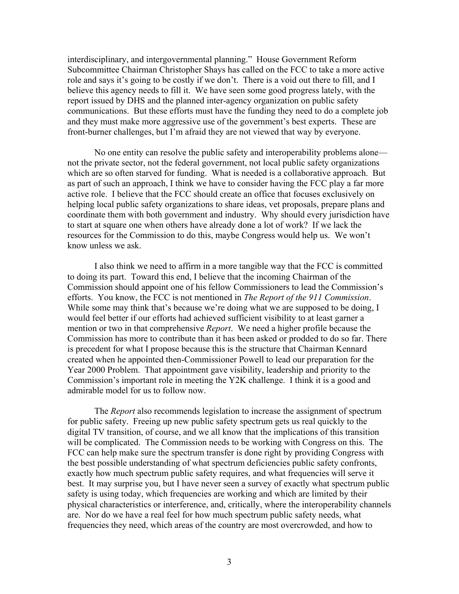interdisciplinary, and intergovernmental planning." House Government Reform Subcommittee Chairman Christopher Shays has called on the FCC to take a more active role and says it's going to be costly if we don't. There is a void out there to fill, and I believe this agency needs to fill it. We have seen some good progress lately, with the report issued by DHS and the planned inter-agency organization on public safety communications. But these efforts must have the funding they need to do a complete job and they must make more aggressive use of the government's best experts. These are front-burner challenges, but I'm afraid they are not viewed that way by everyone.

No one entity can resolve the public safety and interoperability problems alone not the private sector, not the federal government, not local public safety organizations which are so often starved for funding. What is needed is a collaborative approach. But as part of such an approach, I think we have to consider having the FCC play a far more active role. I believe that the FCC should create an office that focuses exclusively on helping local public safety organizations to share ideas, vet proposals, prepare plans and coordinate them with both government and industry. Why should every jurisdiction have to start at square one when others have already done a lot of work? If we lack the resources for the Commission to do this, maybe Congress would help us. We won't know unless we ask.

I also think we need to affirm in a more tangible way that the FCC is committed to doing its part. Toward this end, I believe that the incoming Chairman of the Commission should appoint one of his fellow Commissioners to lead the Commission's efforts. You know, the FCC is not mentioned in *The Report of the 911 Commission*. While some may think that's because we're doing what we are supposed to be doing, I would feel better if our efforts had achieved sufficient visibility to at least garner a mention or two in that comprehensive *Report*. We need a higher profile because the Commission has more to contribute than it has been asked or prodded to do so far. There is precedent for what I propose because this is the structure that Chairman Kennard created when he appointed then-Commissioner Powell to lead our preparation for the Year 2000 Problem. That appointment gave visibility, leadership and priority to the Commission's important role in meeting the Y2K challenge. I think it is a good and admirable model for us to follow now.

The *Report* also recommends legislation to increase the assignment of spectrum for public safety. Freeing up new public safety spectrum gets us real quickly to the digital TV transition, of course, and we all know that the implications of this transition will be complicated. The Commission needs to be working with Congress on this. The FCC can help make sure the spectrum transfer is done right by providing Congress with the best possible understanding of what spectrum deficiencies public safety confronts, exactly how much spectrum public safety requires, and what frequencies will serve it best. It may surprise you, but I have never seen a survey of exactly what spectrum public safety is using today, which frequencies are working and which are limited by their physical characteristics or interference, and, critically, where the interoperability channels are. Nor do we have a real feel for how much spectrum public safety needs, what frequencies they need, which areas of the country are most overcrowded, and how to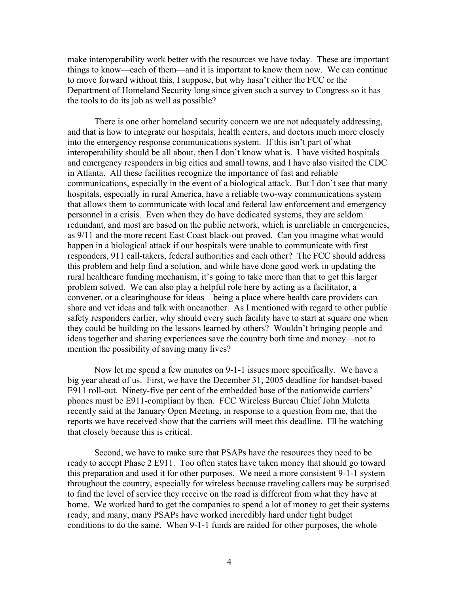make interoperability work better with the resources we have today. These are important things to know—each of them—and it is important to know them now. We can continue to move forward without this, I suppose, but why hasn't either the FCC or the Department of Homeland Security long since given such a survey to Congress so it has the tools to do its job as well as possible?

There is one other homeland security concern we are not adequately addressing, and that is how to integrate our hospitals, health centers, and doctors much more closely into the emergency response communications system. If this isn't part of what interoperability should be all about, then I don't know what is. I have visited hospitals and emergency responders in big cities and small towns, and I have also visited the CDC in Atlanta. All these facilities recognize the importance of fast and reliable communications, especially in the event of a biological attack. But I don't see that many hospitals, especially in rural America, have a reliable two-way communications system that allows them to communicate with local and federal law enforcement and emergency personnel in a crisis. Even when they do have dedicated systems, they are seldom redundant, and most are based on the public network, which is unreliable in emergencies, as 9/11 and the more recent East Coast black-out proved. Can you imagine what would happen in a biological attack if our hospitals were unable to communicate with first responders, 911 call-takers, federal authorities and each other? The FCC should address this problem and help find a solution, and while have done good work in updating the rural healthcare funding mechanism, it's going to take more than that to get this larger problem solved. We can also play a helpful role here by acting as a facilitator, a convener, or a clearinghouse for ideas—being a place where health care providers can share and vet ideas and talk with oneanother. As I mentioned with regard to other public safety responders earlier, why should every such facility have to start at square one when they could be building on the lessons learned by others? Wouldn't bringing people and ideas together and sharing experiences save the country both time and money—not to mention the possibility of saving many lives?

Now let me spend a few minutes on 9-1-1 issues more specifically. We have a big year ahead of us. First, we have the December 31, 2005 deadline for handset-based E911 roll-out. Ninety-five per cent of the embedded base of the nationwide carriers' phones must be E911-compliant by then. FCC Wireless Bureau Chief John Muletta recently said at the January Open Meeting, in response to a question from me, that the reports we have received show that the carriers will meet this deadline. I'll be watching that closely because this is critical.

Second, we have to make sure that PSAPs have the resources they need to be ready to accept Phase 2 E911. Too often states have taken money that should go toward this preparation and used it for other purposes. We need a more consistent 9-1-1 system throughout the country, especially for wireless because traveling callers may be surprised to find the level of service they receive on the road is different from what they have at home. We worked hard to get the companies to spend a lot of money to get their systems ready, and many, many PSAPs have worked incredibly hard under tight budget conditions to do the same. When 9-1-1 funds are raided for other purposes, the whole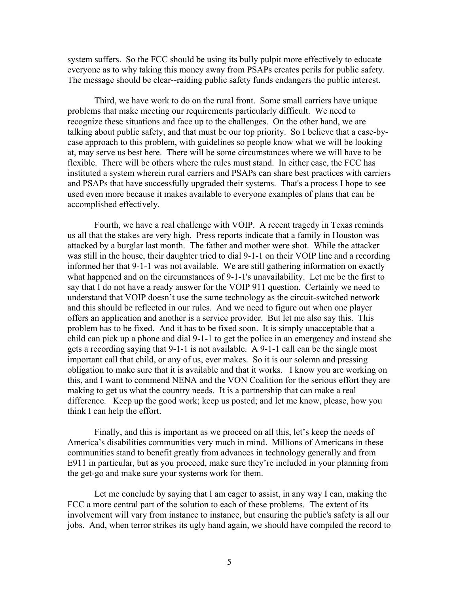system suffers. So the FCC should be using its bully pulpit more effectively to educate everyone as to why taking this money away from PSAPs creates perils for public safety. The message should be clear--raiding public safety funds endangers the public interest.

Third, we have work to do on the rural front. Some small carriers have unique problems that make meeting our requirements particularly difficult. We need to recognize these situations and face up to the challenges. On the other hand, we are talking about public safety, and that must be our top priority. So I believe that a case-bycase approach to this problem, with guidelines so people know what we will be looking at, may serve us best here. There will be some circumstances where we will have to be flexible. There will be others where the rules must stand. In either case, the FCC has instituted a system wherein rural carriers and PSAPs can share best practices with carriers and PSAPs that have successfully upgraded their systems. That's a process I hope to see used even more because it makes available to everyone examples of plans that can be accomplished effectively.

Fourth, we have a real challenge with VOIP. A recent tragedy in Texas reminds us all that the stakes are very high. Press reports indicate that a family in Houston was attacked by a burglar last month. The father and mother were shot. While the attacker was still in the house, their daughter tried to dial 9-1-1 on their VOIP line and a recording informed her that 9-1-1 was not available. We are still gathering information on exactly what happened and on the circumstances of 9-1-1's unavailability. Let me be the first to say that I do not have a ready answer for the VOIP 911 question. Certainly we need to understand that VOIP doesn't use the same technology as the circuit-switched network and this should be reflected in our rules. And we need to figure out when one player offers an application and another is a service provider. But let me also say this. This problem has to be fixed. And it has to be fixed soon. It is simply unacceptable that a child can pick up a phone and dial 9-1-1 to get the police in an emergency and instead she gets a recording saying that 9-1-1 is not available. A 9-1-1 call can be the single most important call that child, or any of us, ever makes. So it is our solemn and pressing obligation to make sure that it is available and that it works. I know you are working on this, and I want to commend NENA and the VON Coalition for the serious effort they are making to get us what the country needs. It is a partnership that can make a real difference. Keep up the good work; keep us posted; and let me know, please, how you think I can help the effort.

Finally, and this is important as we proceed on all this, let's keep the needs of America's disabilities communities very much in mind. Millions of Americans in these communities stand to benefit greatly from advances in technology generally and from E911 in particular, but as you proceed, make sure they're included in your planning from the get-go and make sure your systems work for them.

Let me conclude by saying that I am eager to assist, in any way I can, making the FCC a more central part of the solution to each of these problems. The extent of its involvement will vary from instance to instance, but ensuring the public's safety is all our jobs. And, when terror strikes its ugly hand again, we should have compiled the record to